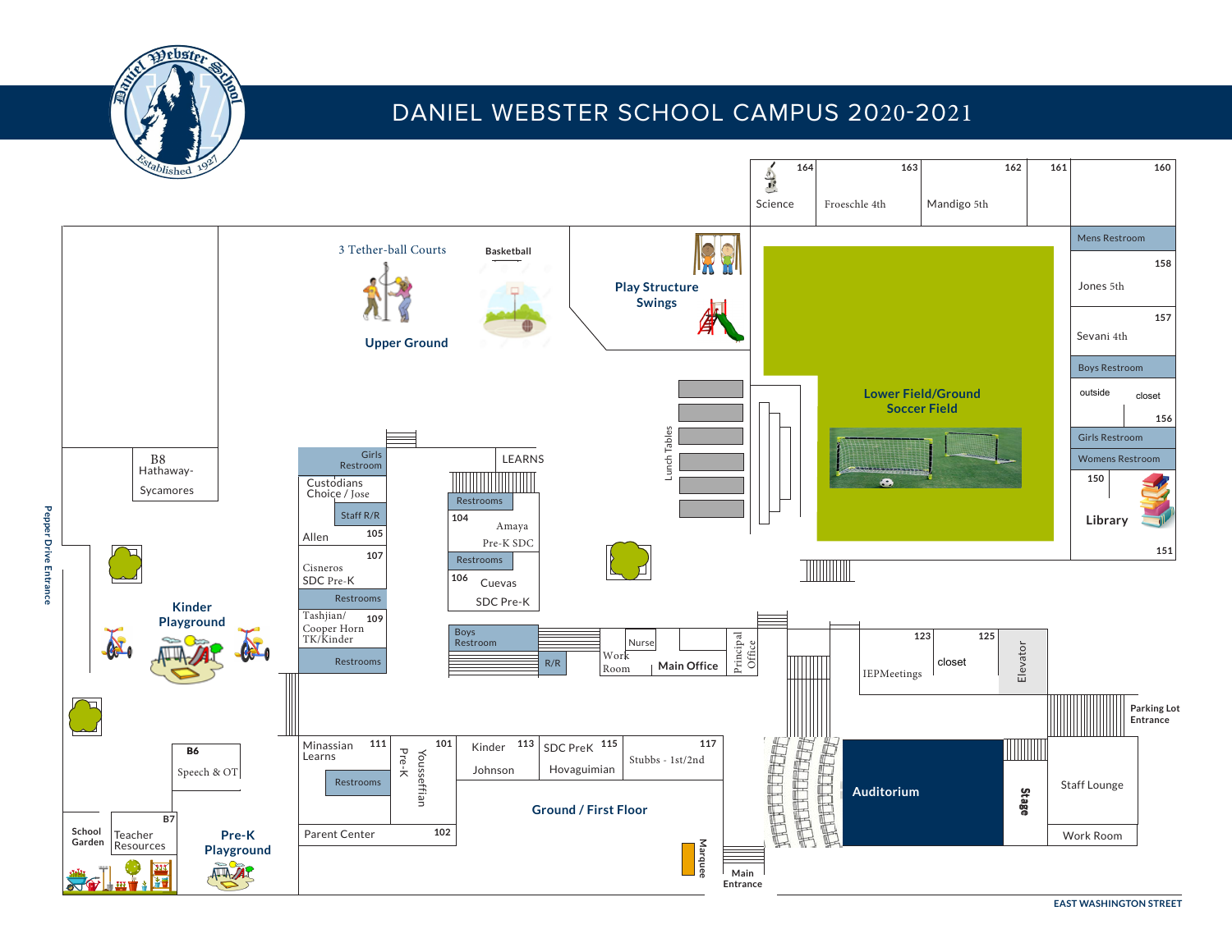

**Pepper Drive Entrance**

# DANIEL WEBSTER SCHOOL CAMPUS 2020-2021